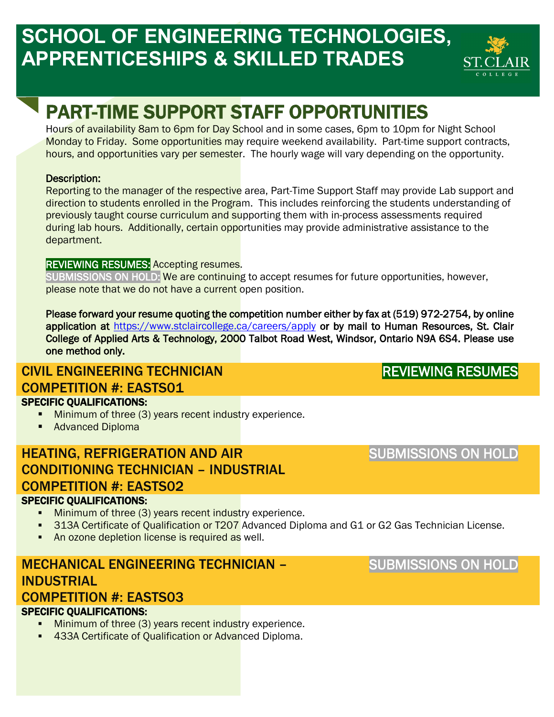# **SCHOOL OF ENGINEERING TECHNOLOGIES, APPRENTICESHIPS & SKILLED TRADES**



# PART-TIME SUPPORT STAFF OPPORTUNITIES

Hours of availability 8am to 6pm for Day School and in some cases, 6pm to 10pm for Night School Monday to Friday. Some opportunities may require weekend availability. Part-time support contracts, hours, and opportunities vary per semester. The hourly wage will vary depending on the opportunity.

#### Description:

Reporting to the manager of the respective area, Part-Time Support Staff may provide Lab support and direction to students enrolled in the Program. This includes reinforcing the students understanding of previously taught course curriculum and supporting them with in-process assessments required during lab hours. Additionally, certain opportunities may provide administrative assistance to the department.

#### REVIEWING RESUMES: Accepting resumes.

SUBMISSIONS ON HOLD: We are continuing to accept resumes for future opportunities, however, please note that we do not have a current open position.

Please forward your resume quoting the competition number either by fax at (519) 972-2754, by online application at<https://www.stclaircollege.ca/careers/apply>or by mail to Human Resources, St. Clair College of Applied Arts & Technology, 2000 Talbot Road West, Windsor, Ontario N9A 6S4. Please use one method only.

# CIVIL ENGINEERING TECHNICIAN COMPETITION #: EASTS01

### SPECIFIC QUALIFICATIONS:

- **Minimum of three (3) years recent industry experience.**
- **Advanced Diploma**

### HEATING, REFRIGERATION AND AIR CONDITIONING TECHNICIAN – INDUSTRIAL COMPETITION #: EASTS02

#### SPECIFIC QUALIFICATIONS:

- **Minimum of three (3) years recent industry experience.**
- **313A Certificate of Qualification or T207** Advanced Diploma and G1 or G2 Gas Technician License.
- **An ozone depletion license is required as well.**

# MECHANICAL ENGINEERING TECHNICIAN – **INDUSTRIAL**

### COMPETITION #: EASTS03

#### SPECIFIC QUALIFICATIONS:

- Minimum of three (3) years recent industry experience.
- **433A Certificate of Qualification or Advanced Diploma.**

SUBMISSIONS ON HOLD

REVIEWING RESUMES

### SUBMISSIONS ON HOLD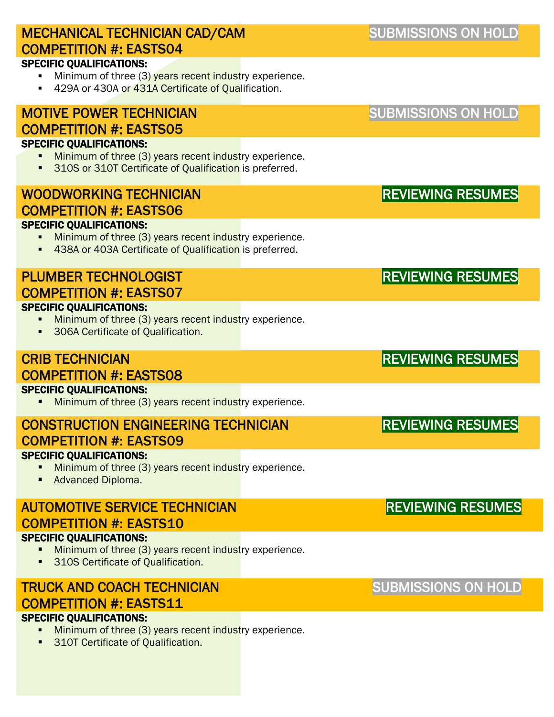| <b>MECHANICAL TECHNICIAN CAD/CAM</b><br><b>COMPETITION #: EASTS04</b>                                                                                | <b>SUBMISSIONS ON HOLD</b> |
|------------------------------------------------------------------------------------------------------------------------------------------------------|----------------------------|
| <b>SPECIFIC QUALIFICATIONS:</b><br>Minimum of three (3) years recent industry experience.<br>429A or 430A or 431A Certificate of Qualification.      |                            |
| <b>MOTIVE POWER TECHNICIAN</b><br><b>COMPETITION #: EASTS05</b>                                                                                      | <b>SUBMISSIONS ON HOLD</b> |
| <b>SPECIFIC QUALIFICATIONS:</b><br>Minimum of three (3) years recent industry experience.<br>310S or 310T Certificate of Qualification is preferred. |                            |
| <b>WOODWORKING TECHNICIAN</b>                                                                                                                        | <b>REVIEWING RESUMES</b>   |
| <b>COMPETITION #: EASTS06</b><br><b>SPECIFIC QUALIFICATIONS:</b>                                                                                     |                            |
| Minimum of three (3) years recent industry experience.<br>438A or 403A Certificate of Qualification is preferred.                                    |                            |
| <b>PLUMBER TECHNOLOGIST</b><br><b>COMPETITION #: EASTS07</b>                                                                                         | <b>REVIEWING RESUMES</b>   |
| <b>SPECIFIC QUALIFICATIONS:</b><br>Minimum of three (3) years recent industry experience.<br>306A Certificate of Qualification.<br>٠                 |                            |
| <b>CRIB TECHNICIAN</b><br><b>COMPETITION #: EASTS08</b>                                                                                              | <b>REVIEWING RESUMES</b>   |
| <b>SPECIFIC QUALIFICATIONS:</b><br>Minimum of three (3) years recent industry experience.                                                            |                            |
| <b>CONSTRUCTION ENGINEERING TECHNICIAN</b><br><b>COMPETITION #: EASTS09</b>                                                                          | <b>REVIEWING RESUMES</b>   |
| <b>SPECIFIC QUALIFICATIONS:</b><br>Minimum of three (3) years recent industry experience.<br>Advanced Diploma.<br>٠                                  |                            |
| <b>AUTOMOTIVE SERVICE TECHNICIAN</b><br><b>COMPETITION #: EASTS10</b>                                                                                | <b>REVIEWING RESUMES</b>   |
| <b>SPECIFIC QUALIFICATIONS:</b><br>Minimum of three (3) years recent industry experience.<br>310S Certificate of Qualification.<br>٠                 |                            |
| <b>TRUCK AND COACH TECHNICIAN</b><br><b>COMPETITION #: EASTS11</b>                                                                                   | <b>SUBMISSIONS ON HOLD</b> |
| <b>SPECIFIC QUALIFICATIONS:</b><br>Minimum of three (3) years recent industry experience.                                                            |                            |

**310T Certificate of Qualification.**